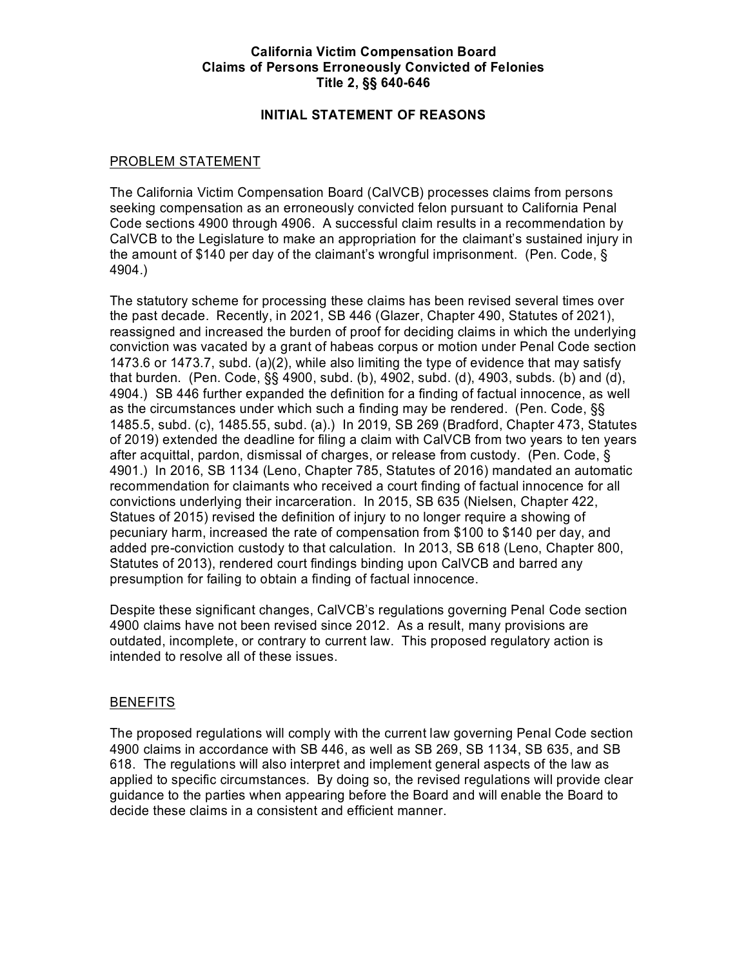# **California Victim Compensation Board Claims of Persons Erroneously Convicted of Felonies Title 2, §§ 640-646**

# **INITIAL STATEMENT OF REASONS**

# PROBLEM STATEMENT

 Code sections 4900 through 4906. A successful claim results in a recommendation by the amount of \$140 per day of the claimant's wrongful imprisonment. (Pen. Code, § The California Victim Compensation Board (CalVCB) processes claims from persons seeking compensation as an erroneously convicted felon pursuant to California Penal CalVCB to the Legislature to make an appropriation for the claimant's sustained injury in 4904.)

 the past decade. Recently, in 2021, SB 446 (Glazer, Chapter 490, Statutes of 2021), 1473.6 or 1473.7, subd. (a)(2), while also limiting the type of evidence that may satisfy 4904.) SB 446 further expanded the definition for a finding of factual innocence, as well as the circumstances under which such a finding may be rendered. (Pen. Code, §§ 1485.5, subd. (c), 1485.55, subd. (a).) In 2019, SB 269 (Bradford, Chapter 473, Statutes of 2019) extended the deadline for filing a claim with CalVCB from two years to ten years after acquittal, pardon, dismissal of charges, or release from custody. (Pen. Code, § 4901.) In 2016, SB 1134 (Leno, Chapter 785, Statutes of 2016) mandated an automatic pecuniary harm, increased the rate of compensation from \$100 to \$140 per day, and added pre-conviction custody to that calculation. In 2013, SB 618 (Leno, Chapter 800, presumption for failing to obtain a finding of factual innocence. The statutory scheme for processing these claims has been revised several times over reassigned and increased the burden of proof for deciding claims in which the underlying conviction was vacated by a grant of habeas corpus or motion under Penal Code section that burden. (Pen. Code, §§ 4900, subd. (b), 4902, subd. (d), 4903, subds. (b) and (d), recommendation for claimants who received a court finding of factual innocence for all convictions underlying their incarceration. In 2015, SB 635 (Nielsen, Chapter 422, Statues of 2015) revised the definition of injury to no longer require a showing of Statutes of 2013), rendered court findings binding upon CalVCB and barred any

presumption for failing to obtain a finding of factual innocence.<br>Despite these significant changes, CalVCB's regulations governing Penal Code section outdated, incomplete, or contrary to current law. This proposed regulatory action is 4900 claims have not been revised since 2012. As a result, many provisions are intended to resolve all of these issues.

#### **BENEFITS**

The proposed regulations will comply with the current law governing Penal Code section 4900 claims in accordance with SB 446, as well as SB 269, SB 1134, SB 635, and SB 618. The regulations will also interpret and implement general aspects of the law as applied to specific circumstances. By doing so, the revised regulations will provide clear guidance to the parties when appearing before the Board and will enable the Board to decide these claims in a consistent and efficient manner.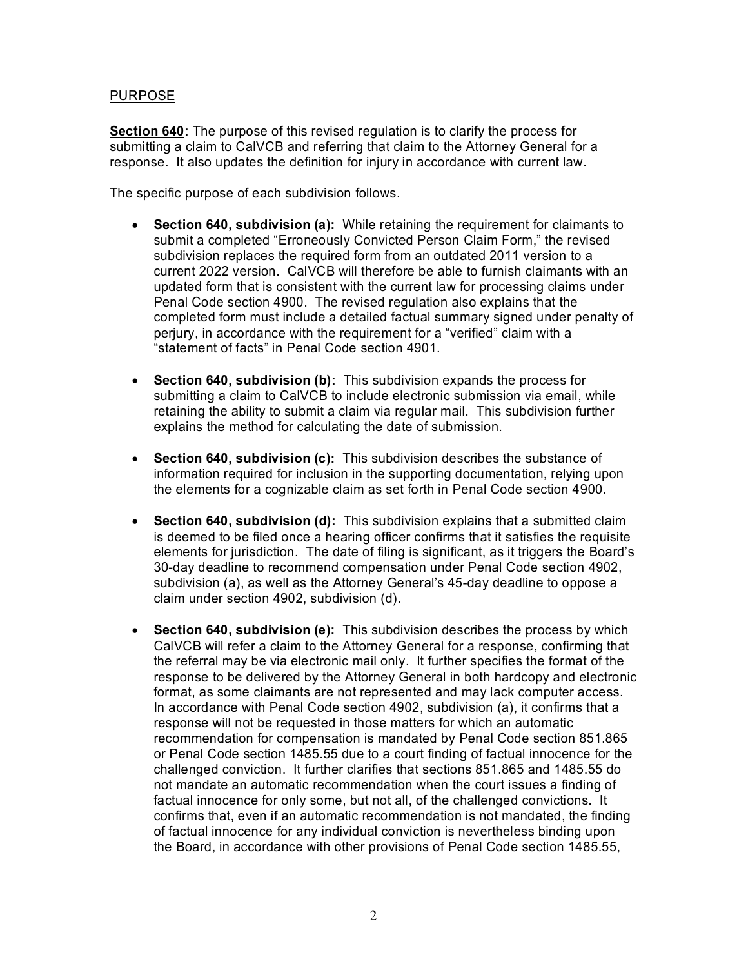# PURPOSE

 submitting a claim to CalVCB and referring that claim to the Attorney General for a response. It also updates the definition for injury in accordance with current law. **Section 640:** The purpose of this revised regulation is to clarify the process for

The specific purpose of each subdivision follows.

- subdivision replaces the required form from an outdated 2011 version to a current 2022 version. CalVCB will therefore be able to furnish claimants with an updated form that is consistent with the current law for processing claims under Penal Code section 4900. The revised regulation also explains that the completed form must include a detailed factual summary signed under penalty of • **Section 640, subdivision (a):** While retaining the requirement for claimants to submit a completed "Erroneously Convicted Person Claim Form," the revised perjury, in accordance with the requirement for a "verified" claim with a "statement of facts" in Penal Code section 4901.
- retaining the ability to submit a claim via regular mail. This subdivision further • **Section 640, subdivision (b):** This subdivision expands the process for submitting a claim to CalVCB to include electronic submission via email, while explains the method for calculating the date of submission.
- • **Section 640, subdivision (c):** This subdivision describes the substance of the elements for a cognizable claim as set forth in Penal Code section 4900. information required for inclusion in the supporting documentation, relying upon
- • **Section 640, subdivision (d):** This subdivision explains that a submitted claim 30-day deadline to recommend compensation under Penal Code section 4902, is deemed to be filed once a hearing officer confirms that it satisfies the requisite elements for jurisdiction. The date of filing is significant, as it triggers the Board's subdivision (a), as well as the Attorney General's 45-day deadline to oppose a claim under section 4902, subdivision (d).
- CalVCB will refer a claim to the Attorney General for a response, confirming that the referral may be via electronic mail only. It further specifies the format of the format, as some claimants are not represented and may lack computer access. In accordance with Penal Code section 4902, subdivision (a), it confirms that a response will not be requested in those matters for which an automatic recommendation for compensation is mandated by Penal Code section 851.865 not mandate an automatic recommendation when the court issues a finding of factual innocence for only some, but not all, of the challenged convictions. It of factual innocence for any individual conviction is nevertheless binding upon the Board, in accordance with other provisions of Penal Code section 1485.55, • **Section 640, subdivision (e):** This subdivision describes the process by which response to be delivered by the Attorney General in both hardcopy and electronic or Penal Code section 1485.55 due to a court finding of factual innocence for the challenged conviction. It further clarifies that sections 851.865 and 1485.55 do confirms that, even if an automatic recommendation is not mandated, the finding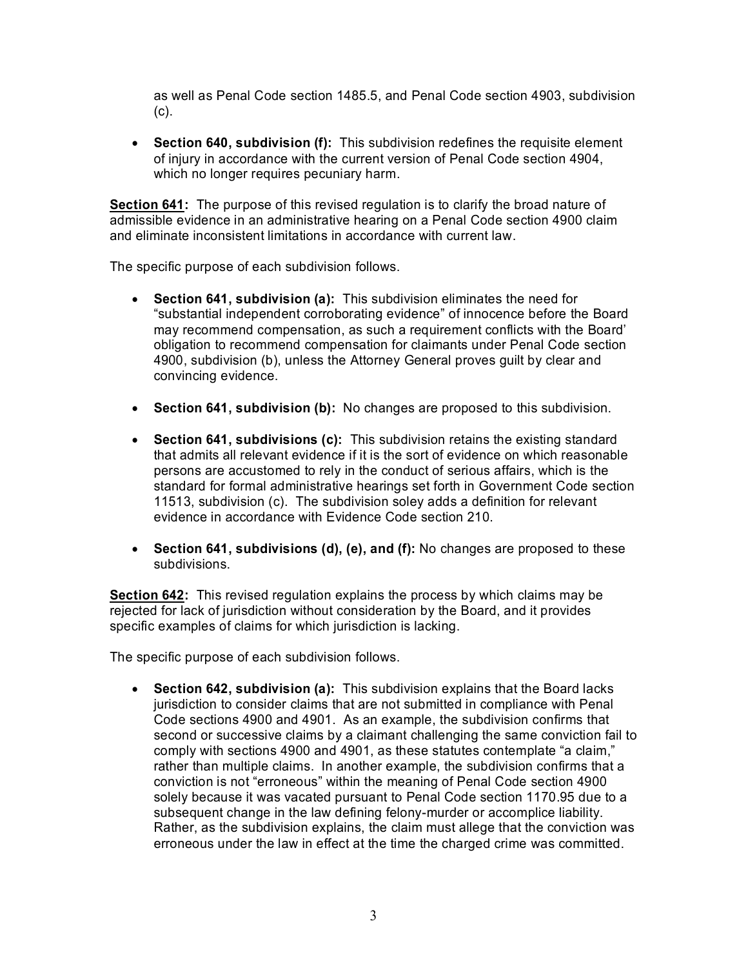as well as Penal Code section 1485.5, and Penal Code section 4903, subdivision (c).

 • **Section 640, subdivision (f):** This subdivision redefines the requisite element of injury in accordance with the current version of Penal Code section 4904, which no longer requires pecuniary harm.

 admissible evidence in an administrative hearing on a Penal Code section 4900 claim and eliminate inconsistent limitations in accordance with current law.<br>The specific purpose of each subdivision follows. **Section 641:** The purpose of this revised regulation is to clarify the broad nature of

- 4900, subdivision (b), unless the Attorney General proves guilt by clear and convincing evidence. • **Section 641, subdivision (a):** This subdivision eliminates the need for "substantial independent corroborating evidence" of innocence before the Board may recommend compensation, as such a requirement conflicts with the Board' obligation to recommend compensation for claimants under Penal Code section
- **Section 641, subdivision (b):** No changes are proposed to this subdivision.
- persons are accustomed to rely in the conduct of serious affairs, which is the 11513, subdivision (c). The subdivision soley adds a definition for relevant • **Section 641, subdivisions (c):** This subdivision retains the existing standard that admits all relevant evidence if it is the sort of evidence on which reasonable standard for formal administrative hearings set forth in Government Code section evidence in accordance with Evidence Code section 210.
- **Section 641, subdivisions (d), (e), and (f):** No changes are proposed to these subdivisions.

 specific examples of claims for which jurisdiction is lacking. **Section 642:** This revised regulation explains the process by which claims may be rejected for lack of jurisdiction without consideration by the Board, and it provides

The specific purpose of each subdivision follows.

 Code sections 4900 and 4901. As an example, the subdivision confirms that rather than multiple claims. In another example, the subdivision confirms that a solely because it was vacated pursuant to Penal Code section 1170.95 due to a subsequent change in the law defining felony-murder or accomplice liability. subsequent change in the law defining felony-murder or accomplice liability.<br>Rather, as the subdivision explains, the claim must allege that the conviction was erroneous under the law in effect at the time the charged crime was committed. • **Section 642, subdivision (a):** This subdivision explains that the Board lacks jurisdiction to consider claims that are not submitted in compliance with Penal second or successive claims by a claimant challenging the same conviction fail to comply with sections 4900 and 4901, as these statutes contemplate "a claim," conviction is not "erroneous" within the meaning of Penal Code section 4900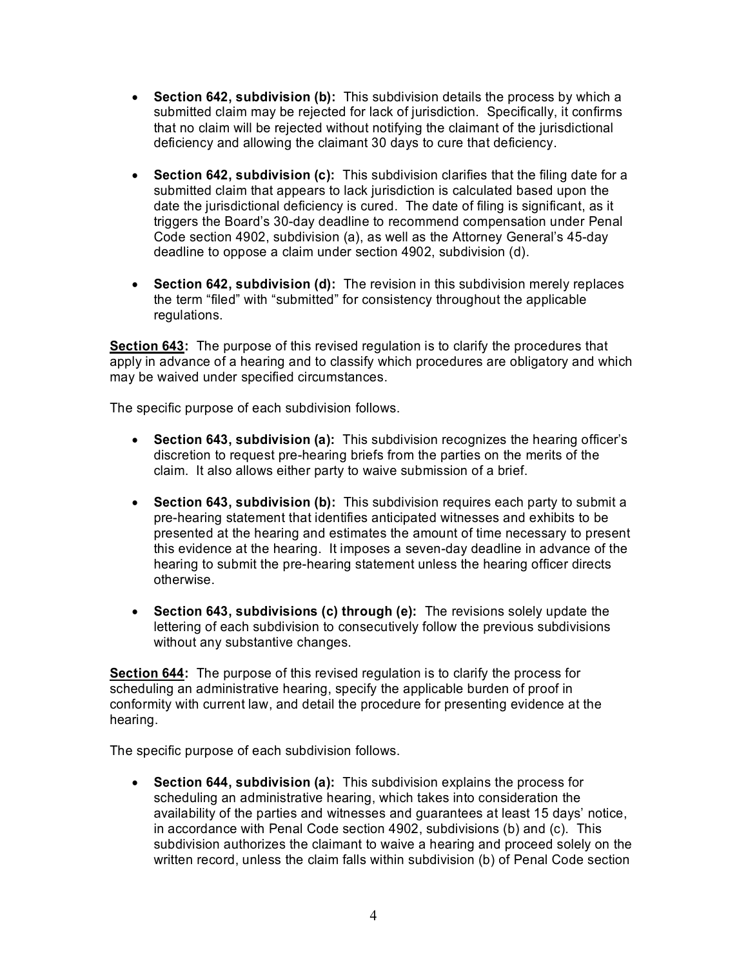- submitted claim may be rejected for lack of jurisdiction. Specifically, it confirms deficiency and allowing the claimant 30 days to cure that deficiency. • **Section 642, subdivision (b):** This subdivision details the process by which a that no claim will be rejected without notifying the claimant of the jurisdictional
- triggers the Board's 30-day deadline to recommend compensation under Penal deadline to oppose a claim under section 4902, subdivision (d). • **Section 642, subdivision (c):** This subdivision clarifies that the filing date for a submitted claim that appears to lack jurisdiction is calculated based upon the date the jurisdictional deficiency is cured. The date of filing is significant, as it Code section 4902, subdivision (a), as well as the Attorney General's 45-day
- **Section 642, subdivision (d):** The revision in this subdivision merely replaces the term "filed" with "submitted" for consistency throughout the applicable regulations.

**Section 643:** The purpose of this revised regulation is to clarify the procedures that apply in advance of a hearing and to classify which procedures are obligatory and which may be waived under specified circumstances.

The specific purpose of each subdivision follows.

- **Section 643, subdivision (a):** This subdivision recognizes the hearing officer's discretion to request pre-hearing briefs from the parties on the merits of the claim. It also allows either party to waive submission of a brief.
- presented at the hearing and estimates the amount of time necessary to present otherwise. • **Section 643, subdivision (b):** This subdivision requires each party to submit a pre-hearing statement that identifies anticipated witnesses and exhibits to be this evidence at the hearing. It imposes a seven-day deadline in advance of the hearing to submit the pre-hearing statement unless the hearing officer directs
- • **Section 643, subdivisions (c) through (e):** The revisions solely update the lettering of each subdivision to consecutively follow the previous subdivisions without any substantive changes.

hearing. **Section 644:** The purpose of this revised regulation is to clarify the process for scheduling an administrative hearing, specify the applicable burden of proof in conformity with current law, and detail the procedure for presenting evidence at the

hearing.<br>The specific purpose of each subdivision follows.

 availability of the parties and witnesses and guarantees at least 15 days' notice, in accordance with Penal Code section 4902, subdivisions (b) and (c). This subdivision authorizes the claimant to waive a hearing and proceed solely on the written record, unless the claim falls within subdivision (b) of Penal Code section • **Section 644, subdivision (a):** This subdivision explains the process for scheduling an administrative hearing, which takes into consideration the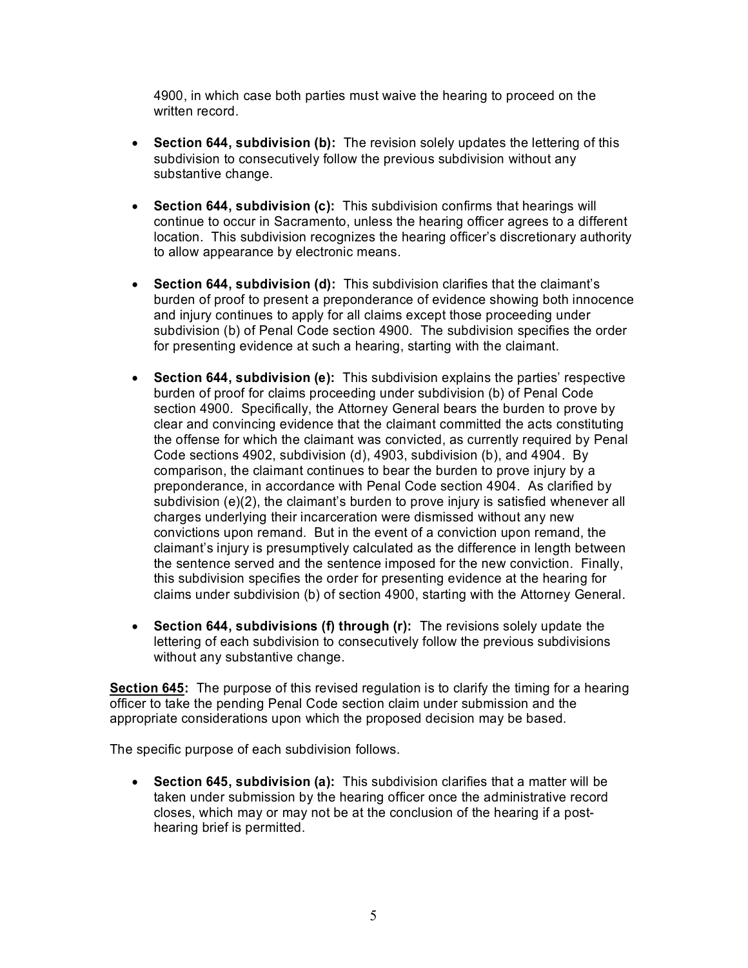written record. 4900, in which case both parties must waive the hearing to proceed on the

- **Section 644, subdivision (b):** The revision solely updates the lettering of this subdivision to consecutively follow the previous subdivision without any substantive change.
- • **Section 644, subdivision (c):** This subdivision confirms that hearings will continue to occur in Sacramento, unless the hearing officer agrees to a different location. This subdivision recognizes the hearing officer's discretionary authority to allow appearance by electronic means.
- burden of proof to present a preponderance of evidence showing both innocence subdivision (b) of Penal Code section 4900. The subdivision specifies the order • **Section 644, subdivision (d):** This subdivision clarifies that the claimant's and injury continues to apply for all claims except those proceeding under for presenting evidence at such a hearing, starting with the claimant.
- burden of proof for claims proceeding under subdivision (b) of Penal Code section 4900. Specifically, the Attorney General bears the burden to prove by comparison, the claimant continues to bear the burden to prove injury by a charges underlying their incarceration were dismissed without any new convictions upon remand. But in the event of a conviction upon remand, the claims under subdivision (b) of section 4900, starting with the Attorney General. • **Section 644, subdivision (e):** This subdivision explains the parties' respective clear and convincing evidence that the claimant committed the acts constituting the offense for which the claimant was convicted, as currently required by Penal Code sections 4902, subdivision (d), 4903, subdivision (b), and 4904. By preponderance, in accordance with Penal Code section 4904. As clarified by subdivision (e)(2), the claimant's burden to prove injury is satisfied whenever all claimant's injury is presumptively calculated as the difference in length between the sentence served and the sentence imposed for the new conviction. Finally, this subdivision specifies the order for presenting evidence at the hearing for
- **Section 644, subdivisions (f) through (r):** The revisions solely update the lettering of each subdivision to consecutively follow the previous subdivisions without any substantive change.

**Section 645:** The purpose of this revised regulation is to clarify the timing for a hearing officer to take the pending Penal Code section claim under submission and the appropriate considerations upon which the proposed decision may be based.

The specific purpose of each subdivision follows.

 closes, which may or may not be at the conclusion of the hearing if a post-• **Section 645, subdivision (a):** This subdivision clarifies that a matter will be taken under submission by the hearing officer once the administrative record hearing brief is permitted.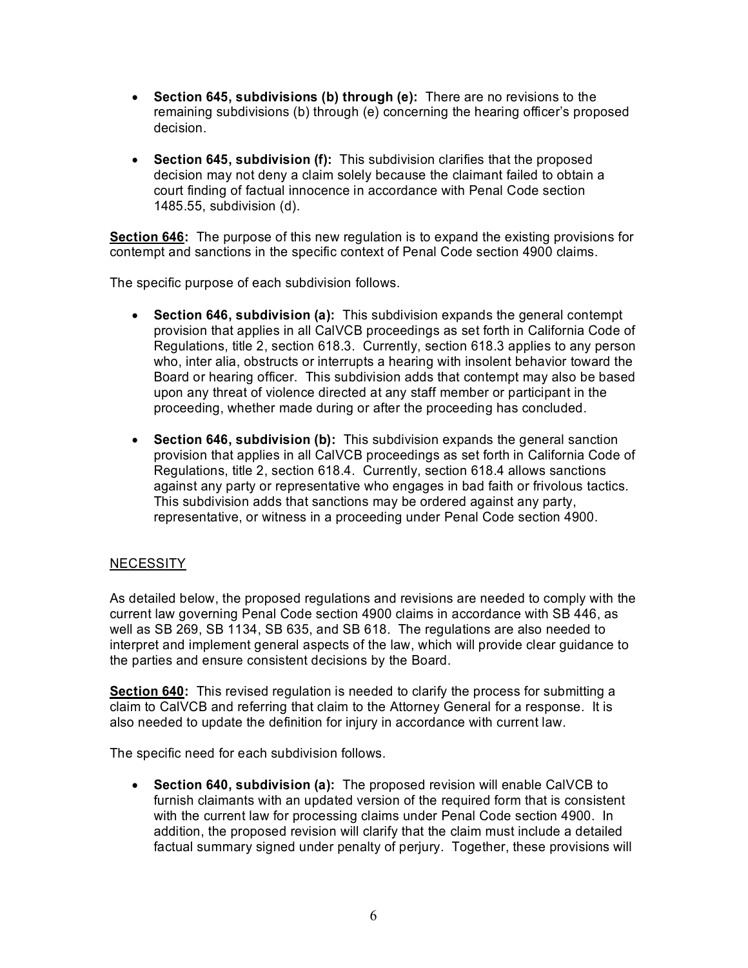- **Section 645, subdivisions (b) through (e):** There are no revisions to the remaining subdivisions (b) through (e) concerning the hearing officer's proposed decision.
- • **Section 645, subdivision (f):** This subdivision clarifies that the proposed decision may not deny a claim solely because the claimant failed to obtain a court finding of factual innocence in accordance with Penal Code section 1485.55, subdivision (d).

**Section 646:** The purpose of this new regulation is to expand the existing provisions for contempt and sanctions in the specific context of Penal Code section 4900 claims.

The specific purpose of each subdivision follows.

- Regulations, title 2, section 618.3. Currently, section 618.3 applies to any person proceeding, whether made during or after the proceeding has concluded. • **Section 646, subdivision (a):** This subdivision expands the general contempt provision that applies in all CalVCB proceedings as set forth in California Code of who, inter alia, obstructs or interrupts a hearing with insolent behavior toward the Board or hearing officer. This subdivision adds that contempt may also be based upon any threat of violence directed at any staff member or participant in the
- representative, or witness in a proceeding under Penal Code section 4900.<br>NECESSITY • **Section 646, subdivision (b):** This subdivision expands the general sanction provision that applies in all CalVCB proceedings as set forth in California Code of Regulations, title 2, section 618.4. Currently, section 618.4 allows sanctions against any party or representative who engages in bad faith or frivolous tactics. This subdivision adds that sanctions may be ordered against any party,

 current law governing Penal Code section 4900 claims in accordance with SB 446, as As detailed below, the proposed regulations and revisions are needed to comply with the well as SB 269, SB 1134, SB 635, and SB 618. The regulations are also needed to interpret and implement general aspects of the law, which will provide clear guidance to the parties and ensure consistent decisions by the Board.

 claim to CalVCB and referring that claim to the Attorney General for a response. It is **Section 640:** This revised regulation is needed to clarify the process for submitting a also needed to update the definition for injury in accordance with current law.

The specific need for each subdivision follows.

 furnish claimants with an updated version of the required form that is consistent with the current law for processing claims under Penal Code section 4900. In factual summary signed under penalty of perjury. Together, these provisions will • **Section 640, subdivision (a):** The proposed revision will enable CalVCB to addition, the proposed revision will clarify that the claim must include a detailed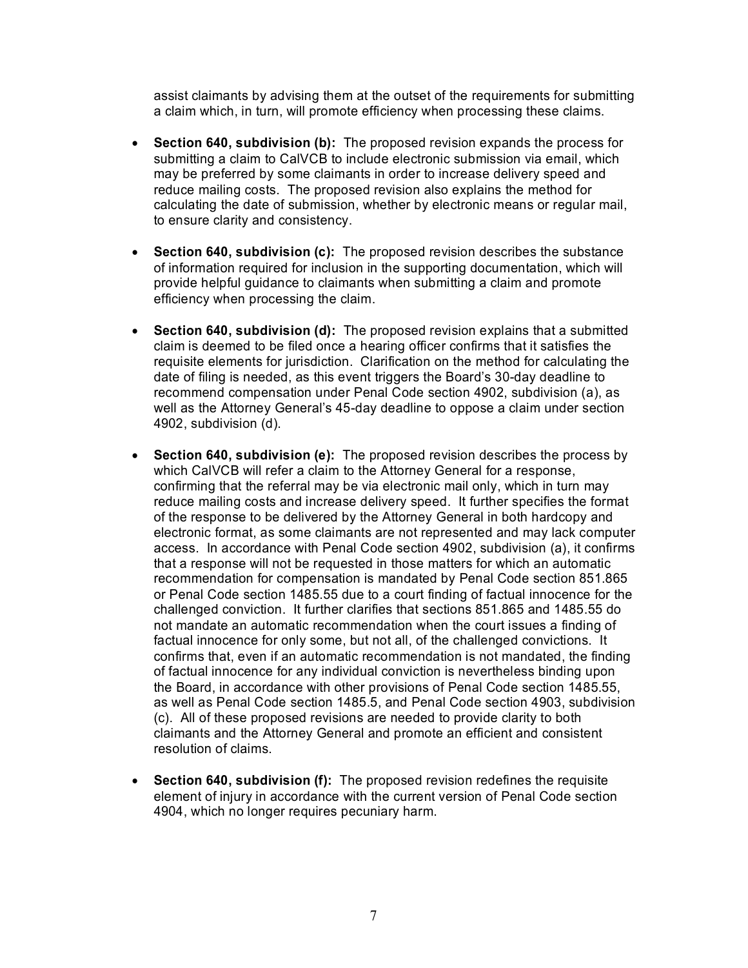assist claimants by advising them at the outset of the requirements for submitting a claim which, in turn, will promote efficiency when processing these claims.

- submitting a claim to CalVCB to include electronic submission via email, which reduce mailing costs. The proposed revision also explains the method for to ensure clarity and consistency. • **Section 640, subdivision (b):** The proposed revision expands the process for may be preferred by some claimants in order to increase delivery speed and calculating the date of submission, whether by electronic means or regular mail,
- **Section 640, subdivision (c):** The proposed revision describes the substance of information required for inclusion in the supporting documentation, which will provide helpful guidance to claimants when submitting a claim and promote efficiency when processing the claim.
- claim is deemed to be filed once a hearing officer confirms that it satisfies the well as the Attorney General's 45-day deadline to oppose a claim under section 4902, subdivision (d). • **Section 640, subdivision (d):** The proposed revision explains that a submitted requisite elements for jurisdiction. Clarification on the method for calculating the date of filing is needed, as this event triggers the Board's 30-day deadline to recommend compensation under Penal Code section 4902, subdivision (a), as
- which CalVCB will refer a claim to the Attorney General for a response, electronic format, as some claimants are not represented and may lack computer that a response will not be requested in those matters for which an automatic recommendation for compensation is mandated by Penal Code section 851.865 not mandate an automatic recommendation when the court issues a finding of factual innocence for only some, but not all, of the challenged convictions. It of factual innocence for any individual conviction is nevertheless binding upon as well as Penal Code section 1485.5, and Penal Code section 4903, subdivision • **Section 640, subdivision (e):** The proposed revision describes the process by confirming that the referral may be via electronic mail only, which in turn may reduce mailing costs and increase delivery speed. It further specifies the format of the response to be delivered by the Attorney General in both hardcopy and access. In accordance with Penal Code section 4902, subdivision (a), it confirms or Penal Code section 1485.55 due to a court finding of factual innocence for the challenged conviction. It further clarifies that sections 851.865 and 1485.55 do confirms that, even if an automatic recommendation is not mandated, the finding the Board, in accordance with other provisions of Penal Code section 1485.55, (c). All of these proposed revisions are needed to provide clarity to both claimants and the Attorney General and promote an efficient and consistent resolution of claims.
- **Section 640, subdivision (f):** The proposed revision redefines the requisite element of injury in accordance with the current version of Penal Code section 4904, which no longer requires pecuniary harm.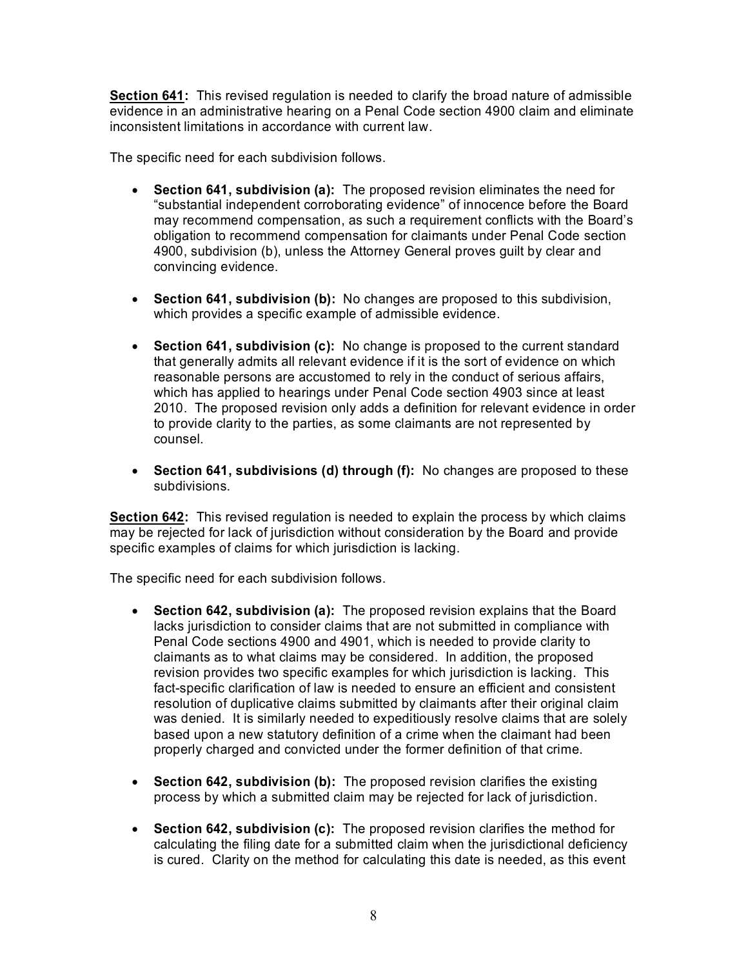**Section 641:** This revised regulation is needed to clarify the broad nature of admissible evidence in an administrative hearing on a Penal Code section 4900 claim and eliminate

inconsistent limitations in accordance with current law.<br>The specific need for each subdivision follows.

- 4900, subdivision (b), unless the Attorney General proves guilt by clear and convincing evidence. • **Section 641, subdivision (a):** The proposed revision eliminates the need for "substantial independent corroborating evidence" of innocence before the Board may recommend compensation, as such a requirement conflicts with the Board's obligation to recommend compensation for claimants under Penal Code section
- **Section 641, subdivision (b):** No changes are proposed to this subdivision, which provides a specific example of admissible evidence.
- reasonable persons are accustomed to rely in the conduct of serious affairs, 2010. The proposed revision only adds a definition for relevant evidence in order • **Section 641, subdivision (c):** No change is proposed to the current standard that generally admits all relevant evidence if it is the sort of evidence on which which has applied to hearings under Penal Code section 4903 since at least to provide clarity to the parties, as some claimants are not represented by counsel.
- • **Section 641, subdivisions (d) through (f):** No changes are proposed to these subdivisions.

**Section 642:** This revised regulation is needed to explain the process by which claims may be rejected for lack of jurisdiction without consideration by the Board and provide specific examples of claims for which jurisdiction is lacking.

The specific need for each subdivision follows.

- revision provides two specific examples for which jurisdiction is lacking. This resolution of duplicative claims submitted by claimants after their original claim properly charged and convicted under the former definition of that crime. • **Section 642, subdivision (a):** The proposed revision explains that the Board lacks jurisdiction to consider claims that are not submitted in compliance with Penal Code sections 4900 and 4901, which is needed to provide clarity to claimants as to what claims may be considered. In addition, the proposed fact-specific clarification of law is needed to ensure an efficient and consistent was denied. It is similarly needed to expeditiously resolve claims that are solely based upon a new statutory definition of a crime when the claimant had been
- **Section 642, subdivision (b):** The proposed revision clarifies the existing process by which a submitted claim may be rejected for lack of jurisdiction.
- calculating the filing date for a submitted claim when the jurisdictional deficiency • **Section 642, subdivision (c):** The proposed revision clarifies the method for is cured. Clarity on the method for calculating this date is needed, as this event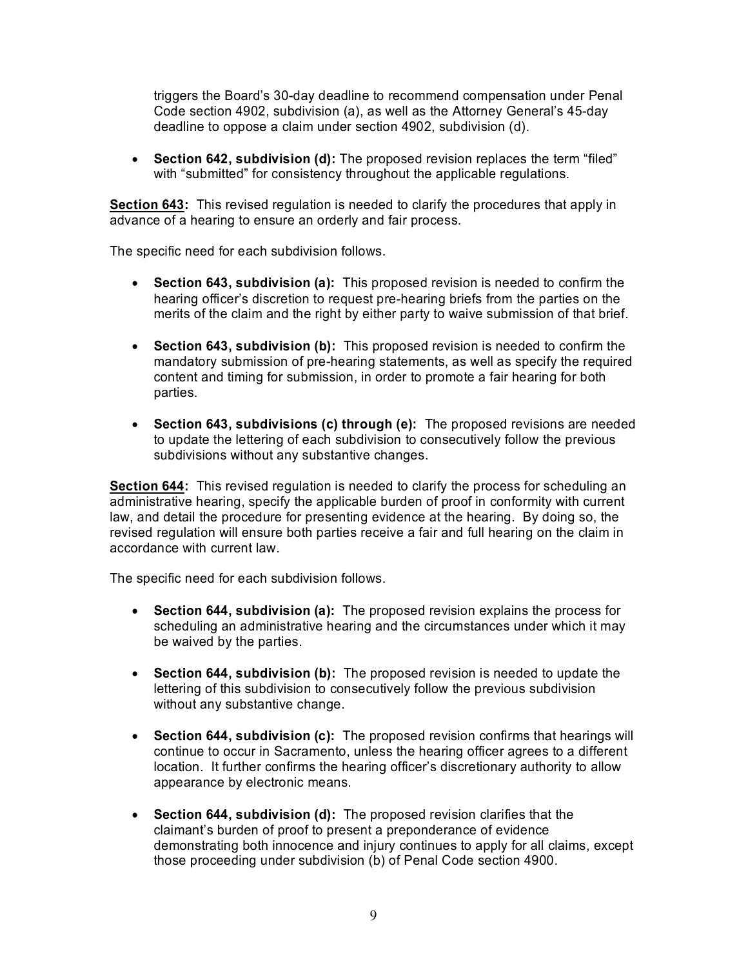triggers the Board's 30-day deadline to recommend compensation under Penal Code section 4902, subdivision (a), as well as the Attorney General's 45-day deadline to oppose a claim under section 4902, subdivision (d).

• **Section 642, subdivision (d):** The proposed revision replaces the term "filed" with "submitted" for consistency throughout the applicable regulations.

 **Section 643:** This revised regulation is needed to clarify the procedures that apply in advance of a hearing to ensure an orderly and fair process.

The specific need for each subdivision follows.

- hearing officer's discretion to request pre-hearing briefs from the parties on the • **Section 643, subdivision (a):** This proposed revision is needed to confirm the merits of the claim and the right by either party to waive submission of that brief.
- • **Section 643, subdivision (b):** This proposed revision is needed to confirm the mandatory submission of pre-hearing statements, as well as specify the required content and timing for submission, in order to promote a fair hearing for both parties.
- **Section 643, subdivisions (c) through (e):** The proposed revisions are needed to update the lettering of each subdivision to consecutively follow the previous subdivisions without any substantive changes.

**Section 644:** This revised regulation is needed to clarify the process for scheduling an administrative hearing, specify the applicable burden of proof in conformity with current law, and detail the procedure for presenting evidence at the hearing. By doing so, the revised regulation will ensure both parties receive a fair and full hearing on the claim in accordance with current law.

The specific need for each subdivision follows.

- • **Section 644, subdivision (a):** The proposed revision explains the process for scheduling an administrative hearing and the circumstances under which it may be waived by the parties.
- **Section 644, subdivision (b):** The proposed revision is needed to update the lettering of this subdivision to consecutively follow the previous subdivision without any substantive change.
- continue to occur in Sacramento, unless the hearing officer agrees to a different • **Section 644, subdivision (c):** The proposed revision confirms that hearings will location. It further confirms the hearing officer's discretionary authority to allow appearance by electronic means.
- claimant's burden of proof to present a preponderance of evidence demonstrating both innocence and injury continues to apply for all claims, except • **Section 644, subdivision (d):** The proposed revision clarifies that the those proceeding under subdivision (b) of Penal Code section 4900.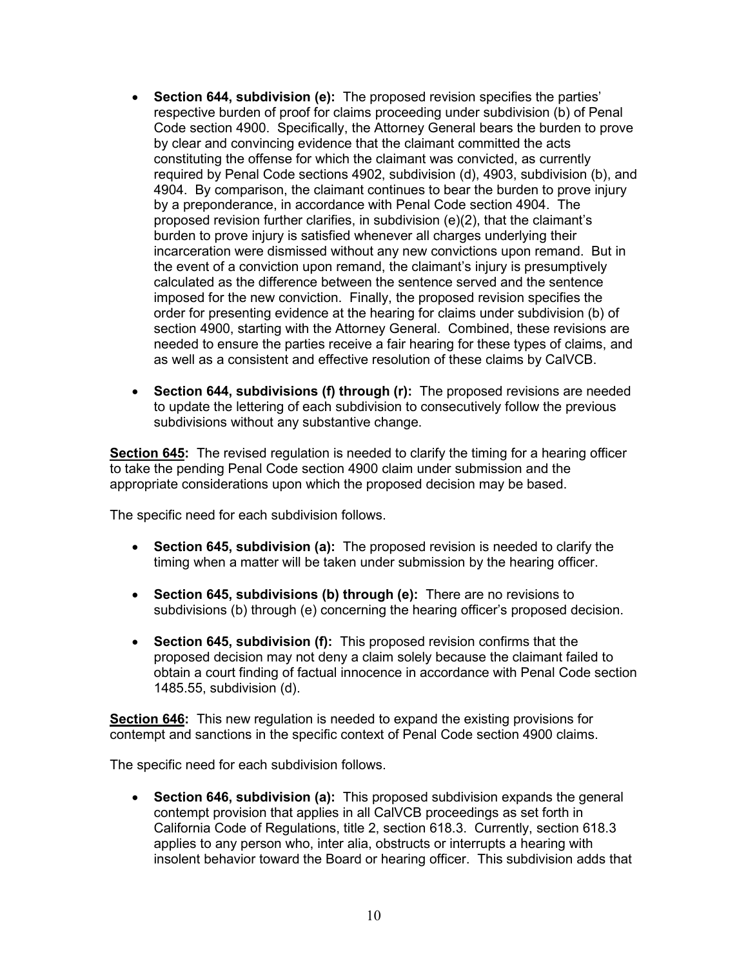- **Section 644, subdivision (e):** The proposed revision specifies the parties' respective burden of proof for claims proceeding under subdivision (b) of Penal Code section 4900. Specifically, the Attorney General bears the burden to prove by clear and convincing evidence that the claimant committed the acts constituting the offense for which the claimant was convicted, as currently required by Penal Code sections 4902, subdivision (d), 4903, subdivision (b), and 4904. By comparison, the claimant continues to bear the burden to prove injury by a preponderance, in accordance with Penal Code section 4904. The proposed revision further clarifies, in subdivision (e)(2), that the claimant's burden to prove injury is satisfied whenever all charges underlying their incarceration were dismissed without any new convictions upon remand. But in the event of a conviction upon remand, the claimant's injury is presumptively calculated as the difference between the sentence served and the sentence imposed for the new conviction. Finally, the proposed revision specifies the order for presenting evidence at the hearing for claims under subdivision (b) of section 4900, starting with the Attorney General. Combined, these revisions are needed to ensure the parties receive a fair hearing for these types of claims, and as well as a consistent and effective resolution of these claims by CalVCB.
- **Section 644, subdivisions (f) through (r):** The proposed revisions are needed to update the lettering of each subdivision to consecutively follow the previous subdivisions without any substantive change.

**Section 645:** The revised regulation is needed to clarify the timing for a hearing officer to take the pending Penal Code section 4900 claim under submission and the appropriate considerations upon which the proposed decision may be based.

The specific need for each subdivision follows.

- **Section 645, subdivision (a):** The proposed revision is needed to clarify the timing when a matter will be taken under submission by the hearing officer.
- **Section 645, subdivisions (b) through (e):** There are no revisions to subdivisions (b) through (e) concerning the hearing officer's proposed decision.
- **Section 645, subdivision (f):** This proposed revision confirms that the proposed decision may not deny a claim solely because the claimant failed to obtain a court finding of factual innocence in accordance with Penal Code section 1485.55, subdivision (d).

**Section 646:** This new regulation is needed to expand the existing provisions for contempt and sanctions in the specific context of Penal Code section 4900 claims.

The specific need for each subdivision follows.

• **Section 646, subdivision (a):** This proposed subdivision expands the general contempt provision that applies in all CalVCB proceedings as set forth in California Code of Regulations, title 2, section 618.3. Currently, section 618.3 applies to any person who, inter alia, obstructs or interrupts a hearing with insolent behavior toward the Board or hearing officer. This subdivision adds that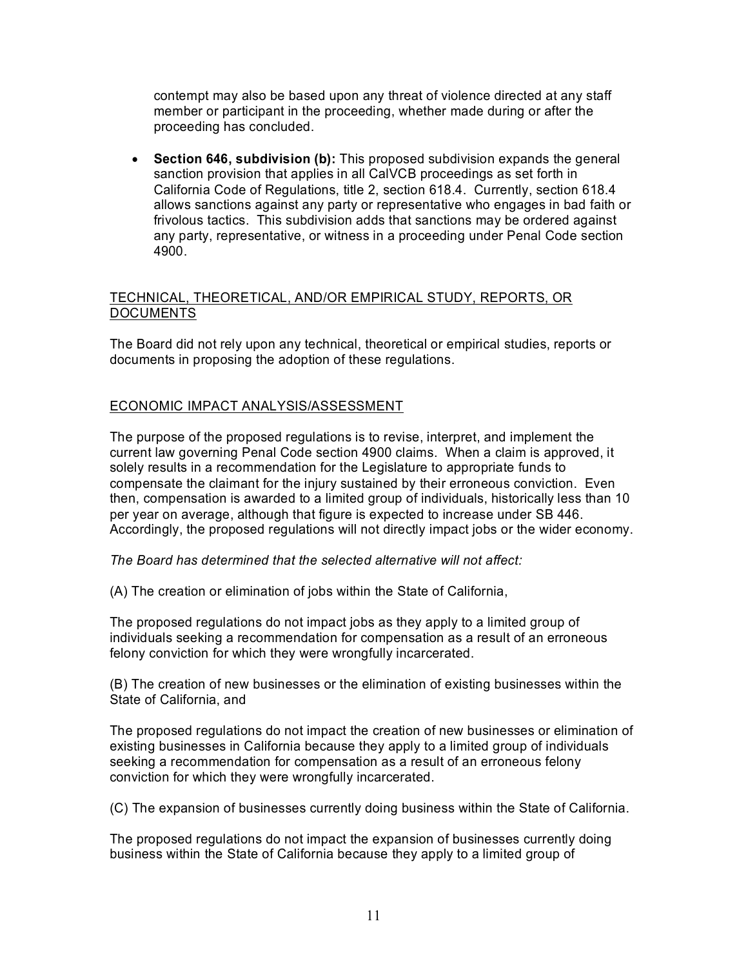contempt may also be based upon any threat of violence directed at any staff member or participant in the proceeding, whether made during or after the proceeding has concluded.

• **Section 646, subdivision (b):** This proposed subdivision expands the general sanction provision that applies in all CalVCB proceedings as set forth in California Code of Regulations, title 2, section 618.4. Currently, section 618.4 allows sanctions against any party or representative who engages in bad faith or frivolous tactics. This subdivision adds that sanctions may be ordered against any party, representative, or witness in a proceeding under Penal Code section 4900.

# TECHNICAL, THEORETICAL, AND/OR EMPIRICAL STUDY, REPORTS, OR **DOCUMENTS**

The Board did not rely upon any technical, theoretical or empirical studies, reports or documents in proposing the adoption of these regulations.

# ECONOMIC IMPACT ANALYSIS/ASSESSMENT

The purpose of the proposed regulations is to revise, interpret, and implement the current law governing Penal Code section 4900 claims. When a claim is approved, it solely results in a recommendation for the Legislature to appropriate funds to compensate the claimant for the injury sustained by their erroneous conviction. Even then, compensation is awarded to a limited group of individuals, historically less than 10 per year on average, although that figure is expected to increase under SB 446. Accordingly, the proposed regulations will not directly impact jobs or the wider economy.

# *The Board has determined that the selected alternative will not affect:*

(A) The creation or elimination of jobs within the State of California,

The proposed regulations do not impact jobs as they apply to a limited group of individuals seeking a recommendation for compensation as a result of an erroneous felony conviction for which they were wrongfully incarcerated.

(B) The creation of new businesses or the elimination of existing businesses within the State of California, and

The proposed regulations do not impact the creation of new businesses or elimination of existing businesses in California because they apply to a limited group of individuals seeking a recommendation for compensation as a result of an erroneous felony conviction for which they were wrongfully incarcerated.

(C) The expansion of businesses currently doing business within the State of California.

The proposed regulations do not impact the expansion of businesses currently doing business within the State of California because they apply to a limited group of